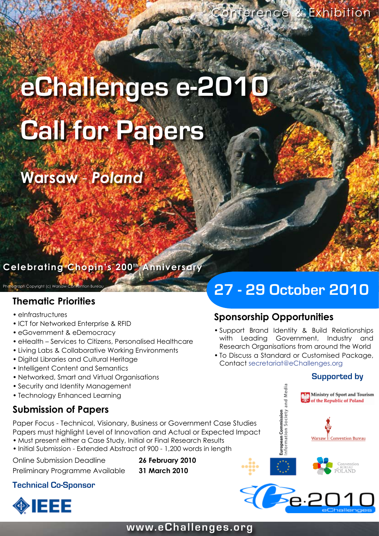# **eChallenges e-2010 Call for Papers**

# **Warsaw** - *Poland*

# **Celebrating Chopin's 200th Anniversary**

Photograph Copyright (c) Warsaw Convention Burea

### **Thematic Priorities**

- eInfrastructures
- ICT for Networked Enterprise & RFID
- eGovernment & eDemocracy
- eHealth Services to Citizens, Personalised Healthcare
- Living Labs & Collaborative Working Environments
- Digital Libraries and Cultural Heritage •
- Intelligent Content and Semantics
- Networked, Smart and Virtual Organisations •
- Security and Identity Management •
- Technology Enhanced Learning

# **Submission of Papers**

Paper Focus - Technical, Visionary, Business or Government Case Studies Papers must highlight Level of Innovation and Actual or Expected Impact

- Must present either a Case Study, Initial or Final Research Results •
- Initial Submission Extended Abstract of 900 1,200 words in length

Online Submission Deadline **26 February 2010**

Preliminary Programme Available **31 March 2010**

### **Technical Co-Sponsor**



# **27 - 29 October 2010**

# **Sponsorship Opportunities**

- Support Brand Identity & Build Relationships with Leading Government, Industry and Research Organisations from around the World
- To Discuss a Standard or Customised Package, Contact secretariat@eChallenges.org



2 Be 2010

# **www.eChallenges.org**